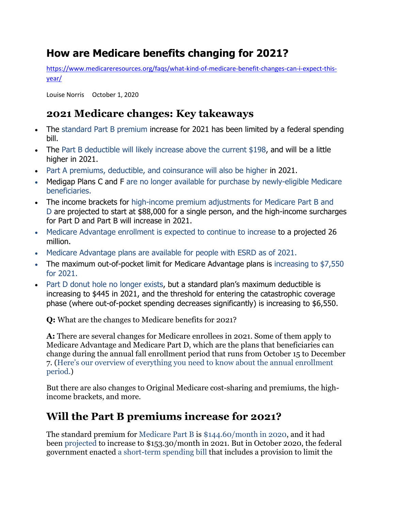# **How are Medicare benefits changing for 2021?**

[https://www.medicareresources.org/faqs/what-kind-of-medicare-benefit-changes-can-i-expect-this](https://www.medicareresources.org/faqs/what-kind-of-medicare-benefit-changes-can-i-expect-this-year/)[year/](https://www.medicareresources.org/faqs/what-kind-of-medicare-benefit-changes-can-i-expect-this-year/)

[Louise Norris](https://www.medicareresources.org/authors/louise-norris/) October 1, 2020

## **2021 Medicare changes: Key takeaways**

- The [standard Part B premium](https://www.medicareresources.org/faqs/what-kind-of-medicare-benefit-changes-can-i-expect-this-year/#standard) increase for 2021 has been limited by a federal spending bill.
- The [Part B deductible will likely increase above the](https://www.medicareresources.org/faqs/what-kind-of-medicare-benefit-changes-can-i-expect-this-year/#deductible) current \$198, and will be a little higher in 2021.
- [Part A premiums, deductible, and coinsurance will also be higher](https://www.medicareresources.org/faqs/what-kind-of-medicare-benefit-changes-can-i-expect-this-year/#PartA) in 2021.
- Medigap Plans C and F are no longer available for purchase by newly-eligible Medicare [beneficiaries.](https://www.medicareresources.org/faqs/what-kind-of-medicare-benefit-changes-can-i-expect-this-year/#Medigap)
- The income brackets for [high-income premium adjustments for Medicare Part B and](https://www.medicareresources.org/faqs/what-kind-of-medicare-benefit-changes-can-i-expect-this-year/#bracket) [D](https://www.medicareresources.org/faqs/what-kind-of-medicare-benefit-changes-can-i-expect-this-year/#bracket) are projected to start at \$88,000 for a single person, and the high-income surcharges for Part D and Part B will increase in 2021.
- [Medicare Advantage enrollment is expected to continue to increase](https://www.medicareresources.org/faqs/what-kind-of-medicare-benefit-changes-can-i-expect-this-year/#MA) to a projected 26 million.
- [Medicare Advantage plans are available for people with ESRD as of 2021.](https://www.medicareresources.org/faqs/what-kind-of-medicare-benefit-changes-can-i-expect-this-year/#ESRD)
- The maximum out-of-pocket limit for Medicare Advantage plans is increasing to \$7,550 [for 2021.](https://www.medicareresources.org/faqs/what-kind-of-medicare-benefit-changes-can-i-expect-this-year/#MOOP)
- [Part D donut hole no longer exists,](https://www.medicareresources.org/faqs/what-kind-of-medicare-benefit-changes-can-i-expect-this-year/#PartD) but a standard plan's maximum deductible is increasing to \$445 in 2021, and the threshold for entering the catastrophic coverage phase (where out-of-pocket spending decreases significantly) is increasing to \$6,550.

**Q:** What are the changes to Medicare benefits for 2021?

**A:** There are several changes for Medicare enrollees in 2021. Some of them apply to Medicare Advantage and Medicare Part D, which are the plans that beneficiaries can change during the annual fall enrollment period that runs from October 15 to December 7. [\(Here's our overview of everything you need to know about the annual enrollment](https://www.medicareresources.org/medicare-open-enrollment/)  [period.\)](https://www.medicareresources.org/medicare-open-enrollment/)

But there are also changes to Original Medicare cost-sharing and premiums, the highincome brackets, and more.

## **Will the Part B premiums increase for 2021?**

The standard premium for [Medicare Part B](https://www.medicareresources.org/medicare-benefits/medicare-part-b/) is [\\$144.60/month in 2020,](https://www.cms.gov/newsroom/fact-sheets/2020-medicare-parts-b-premiums-and-deductibles) and it had been [projected](https://www.cms.gov/files/document/2020-medicare-trustees-report.pdf) to increase to \$153.30/month in 2021. But in October 2020, the federal government enacted [a short-term spending bill](https://www.billtrack50.com/billdetail/1243343/) that includes a provision to limit the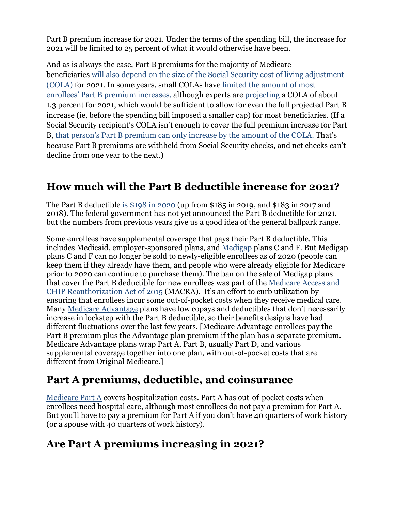Part B premium increase for 2021. Under the terms of the spending bill, the increase for 2021 will be limited to 25 percent of what it would otherwise have been.

And as is always the case, Part B premiums for the majority of Medicare beneficiaries [will also depend on the size of the Social Security cost of living adjustment](https://www.everycrsreport.com/files/20200506_R40082_3726d909cde11a908b6d04c419e702c596f1e917.pdf) [\(COLA\)](https://www.everycrsreport.com/files/20200506_R40082_3726d909cde11a908b6d04c419e702c596f1e917.pdf) for 2021. In some years, small COLAs have [limited the amount of most](https://www.medicareresources.org/faqs/how-does-the-hold-harmless-provision-protect-beneficiaries-from-medicare-part-b-premium-increases/)  [enrollees' Part B premium increases,](https://www.medicareresources.org/faqs/how-does-the-hold-harmless-provision-protect-beneficiaries-from-medicare-part-b-premium-increases/) although experts are [projecting](https://www.disabled-world.com/disability/social-security/usa/cola-2021.php) a COLA of about 1.3 percent for 2021, which would be sufficient to allow for even the full projected Part B increase (ie, before the spending bill imposed a smaller cap) for most beneficiaries. (If a Social Security recipient's COLA isn't enough to cover the full premium increase for Part B, [that person's Part B premium can only increase by the amount of the COLA.](https://www.medicareresources.org/faqs/will-everyone-pay-higher-medicare-part-b-premiums-in-2017/) That's because Part B premiums are withheld from Social Security checks, and net checks can't decline from one year to the next.)

## **How much will the Part B deductible increase for 2021?**

The Part B deductible is [\\$198 in 2020](https://www.cms.gov/newsroom/fact-sheets/2020-medicare-parts-b-premiums-and-deductibles) (up from \$185 in 2019, and \$183 in 2017 and 2018). The federal government has not yet announced the Part B deductible for 2021, but the numbers from previous years give us a good idea of the general ballpark range.

Some enrollees have supplemental coverage that pays their Part B deductible. This includes Medicaid, employer-sponsored plans, and [Medigap](https://www.medicareresources.org/medicare-benefits/medigap/) plans C and F. But Medigap plans C and F can no longer be sold to newly-eligible enrollees as of 2020 (people can keep them if they already have them, and people who were already eligible for Medicare prior to 2020 can continue to purchase them). The ban on the sale of Medigap plans that cover the Part B deductible for new enrollees was part of the [Medicare Access and](https://waysandmeans.house.gov/legislation/bills/hr-2-medicare-access-and-chip-reauthorization-act-macra)  [CHIP Reauthorization Act of 2015](https://waysandmeans.house.gov/legislation/bills/hr-2-medicare-access-and-chip-reauthorization-act-macra) (MACRA). It's an effort to curb utilization by ensuring that enrollees incur some out-of-pocket costs when they receive medical care. Many [Medicare Advantage](https://www.medicareresources.org/medicare-benefits/medicare-advantage/) plans have low copays and deductibles that don't necessarily increase in lockstep with the Part B deductible, so their benefits designs have had different fluctuations over the last few years. [Medicare Advantage enrollees pay the Part B premium plus the Advantage plan premium if the plan has a separate premium. Medicare Advantage plans wrap Part A, Part B, usually Part D, and various supplemental coverage together into one plan, with out-of-pocket costs that are different from Original Medicare.]

## **Part A premiums, deductible, and coinsurance**

[Medicare Part A](https://www.medicareresources.org/medicare-benefits/medicare-part-a/) covers hospitalization costs. Part A has out-of-pocket costs when enrollees need hospital care, although most enrollees do not pay a premium for Part A. But you'll have to pay a premium for Part A if you don't have 40 quarters of work history (or a spouse with 40 quarters of work history).

## **Are Part A premiums increasing in 2021?**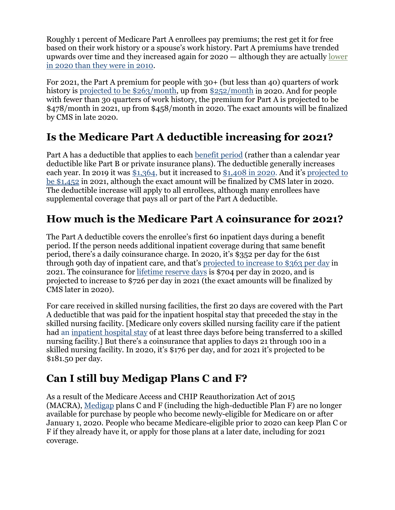Roughly 1 percent of Medicare Part A enrollees pay premiums; the rest get it for free based on their work history or a spouse's work history. Part A premiums have trended upwards over time and they increased again for 2020 — although they are actually [lower](https://www.cms.gov/Research-Statistics-Data-and-Systems/Statistics-Trends-and-Reports/ReportsTrustFunds/Downloads/TR2019.pdf)  [in 2020 than they were in 2010.](https://www.cms.gov/Research-Statistics-Data-and-Systems/Statistics-Trends-and-Reports/ReportsTrustFunds/Downloads/TR2019.pdf)

For 2021, the Part A premium for people with 30+ (but less than 40) quarters of work history is [projected to be \\$263/month,](https://www.cms.gov/files/document/2020-medicare-trustees-report.pdf) up from [\\$252/month](https://www.medicare.gov/your-medicare-costs/medicare-costs-at-a-glance) in 2020. And for people with fewer than 30 quarters of work history, the premium for Part A is projected to be \$478/month in 2021, up from \$458/month in 2020. The exact amounts will be finalized by CMS in late 2020.

# **Is the Medicare Part A deductible increasing for 2021?**

Part A has a deductible that applies to each [benefit period](https://www.medicareresources.org/glossary/benefit-period/) (rather than a calendar year deductible like Part B or private insurance plans). The deductible generally increases each year. In 2019 it was [\\$1,364,](https://www.cms.gov/newsroom/fact-sheets/2019-medicare-parts-b-premiums-and-deductibles) but it increased to [\\$1,408 in 2020.](https://www.cms.gov/newsroom/fact-sheets/2020-medicare-parts-b-premiums-and-deductibles) And it's [projected to](https://www.cms.gov/files/document/2020-medicare-trustees-report.pdf) [be \\$1,452](https://www.cms.gov/files/document/2020-medicare-trustees-report.pdf) in 2021, although the exact amount will be finalized by CMS later in 2020. The deductible increase will apply to all enrollees, although many enrollees have supplemental coverage that pays all or part of the Part A deductible.

### **How much is the Medicare Part A coinsurance for 2021?**

The Part A deductible covers the enrollee's first 60 inpatient days during a benefit period. If the person needs additional inpatient coverage during that same benefit period, there's a daily coinsurance charge. In 2020, it's \$352 per day for the 61st through 90th day of inpatient care, and that's [projected to increase to \\$363 per day](https://www.cms.gov/files/document/2020-medicare-trustees-report.pdf) in 2021. The coinsurance for [lifetime reserve days](https://www.medicare.gov/coverage/hospital-care-inpatient.html) is \$704 per day in 2020, and is projected to increase to \$726 per day in 2021 (the exact amounts will be finalized by CMS later in 2020).

For care received in skilled nursing facilities, the first 20 days are covered with the Part A deductible that was paid for the inpatient hospital stay that preceded the stay in the skilled nursing facility. [Medicare only covers skilled nursing facility care if the patient had an [inpatient hospital stay](https://www.medicareresources.org/glossary/inpatient-care/) of at least three days before being transferred to a skilled nursing facility.] But there's a coinsurance that applies to days 21 through 100 in a skilled nursing facility. In 2020, it's \$176 per day, and for 2021 it's projected to be \$181.50 per day.

## **Can I still buy Medigap Plans C and F?**

As a result of the Medicare Access and CHIP Reauthorization Act of 2015 (MACRA), [Medigap](https://www.medicareresources.org/medicare-benefits/medigap/) plans C and F (including the high-deductible Plan F) are no longer available for purchase by people who become newly-eligible for Medicare on or after January 1, 2020. People who became Medicare-eligible prior to 2020 can keep Plan C or F if they already have it, or apply for those plans at a later date, including for 2021 coverage.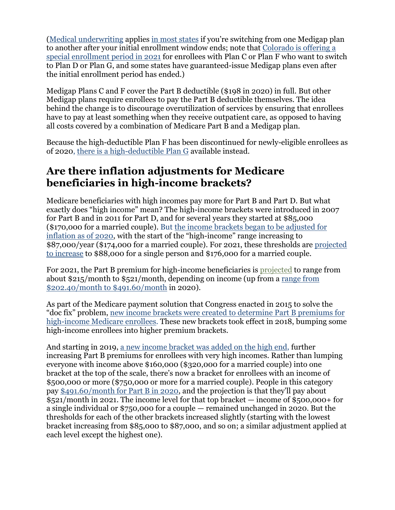[\(Medical underwriting](https://www.medicareresources.org/glossary/medical-underwriting/) applies [in most states](https://www.medicareresources.org/medicare-benefits/medigap/#purchase) if you're switching from one Medigap plan to another after your initial enrollment window ends; note that [Colorado is offering a](https://www.healthinsurance.org/colorado-medicare/#SEP)  [special enrollment period in 2021](https://www.healthinsurance.org/colorado-medicare/#SEP) for enrollees with Plan C or Plan F who want to switch to Plan D or Plan G, and some states have guaranteed-issue Medigap plans even after the initial enrollment period has ended.)

Medigap Plans C and F cover the Part B deductible (\$198 in 2020) in full. But other Medigap plans require enrollees to pay the Part B deductible themselves. The idea behind the change is to discourage overutilization of services by ensuring that enrollees have to pay at least something when they receive outpatient care, as opposed to having all costs covered by a combination of Medicare Part B and a Medigap plan.

Because the high-deductible Plan F has been discontinued for newly-eligible enrollees as of 2020, [there is a high-deductible Plan G](https://www.ahip.org/wp-content/uploads/Medigap2020-002.pdf) available instead.

### **Are there inflation adjustments for Medicare beneficiaries in high-income brackets?**

Medicare beneficiaries with high incomes pay more for Part B and Part D. But what exactly does "high income" mean? The high-income brackets were introduced in 2007 for Part B and in 2011 for Part D, and for several years they started at \$85,000 (\$170,000 for a married couple). But [the income brackets began to be adjusted for](https://www.medicareresources.org/faqs/how-much-does-medicare-part-b-cost-the-insured/#high)  [inflation as of 2020,](https://www.medicareresources.org/faqs/how-much-does-medicare-part-b-cost-the-insured/#high) with the start of the "high-income" range increasing to \$87,000/year (\$174,000 for a married couple). For 2021, these thresholds are [projected](https://thefinancebuff.com/medicare-irmaa-income-brackets.html)  [to increase](https://thefinancebuff.com/medicare-irmaa-income-brackets.html) to \$88,000 for a single person and \$176,000 for a married couple.

For 2021, the Part B premium for high-income beneficiaries is [projected](https://www.cms.gov/files/document/2020-medicare-trustees-report.pdf) to range from about \$215/month to \$521/month, depending on income (up from a [range from](https://www.cms.gov/Research-Statistics-Data-and-Systems/Statistics-Trends-and-Reports/ReportsTrustFunds/Downloads/TR2019.pdf)  [\\$202.40/month to \\$491.60/month](https://www.cms.gov/Research-Statistics-Data-and-Systems/Statistics-Trends-and-Reports/ReportsTrustFunds/Downloads/TR2019.pdf) in 2020).

As part of the Medicare payment solution that Congress enacted in 2015 to solve the "doc fix" problem, [new income brackets were created to determine Part B premiums for](https://www.federalregister.gov/documents/2018/11/07/2018-24336/income-related-monthly-adjustment-amounts-for-medicare-part-b-and-prescription-drug-coverage)  [high-income Medicare enrollees.](https://www.federalregister.gov/documents/2018/11/07/2018-24336/income-related-monthly-adjustment-amounts-for-medicare-part-b-and-prescription-drug-coverage) These new brackets took effect in 2018, bumping some high-income enrollees into higher premium brackets.

And starting in 2019, [a new income bracket was added on the high end,](https://www.federalregister.gov/documents/2018/11/07/2018-24336/income-related-monthly-adjustment-amounts-for-medicare-part-b-and-prescription-drug-coverage) further increasing Part B premiums for enrollees with very high incomes. Rather than lumping everyone with income above \$160,000 (\$320,000 for a married couple) into one bracket at the top of the scale, there's now a bracket for enrollees with an income of \$500,000 or more (\$750,000 or more for a married couple). People in this category pay [\\$491.60/month for Part B in 2020,](https://www.medicareresources.org/faqs/how-much-does-medicare-part-b-cost-the-insured/#high) and the projection is that they'll pay about \$521/month in 2021. The income level for that top bracket — income of \$500,000+ for a single individual or \$750,000 for a couple — remained unchanged in 2020. But the thresholds for each of the other brackets increased slightly (starting with the lowest bracket increasing from \$85,000 to \$87,000, and so on; a similar adjustment applied at each level except the highest one).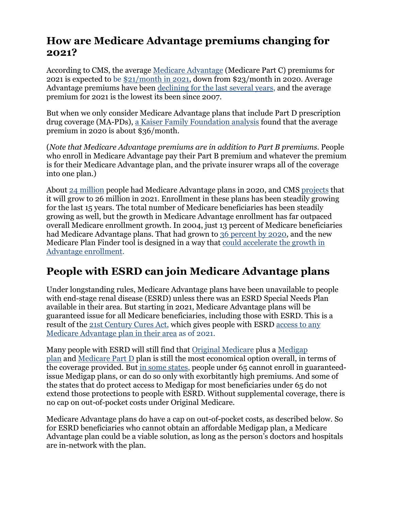#### **How are Medicare Advantage premiums changing for 2021?**

According to CMS, the average [Medicare Advantage](https://www.medicareresources.org/medicare-benefits/medicare-advantage/) (Medicare Part C) premiums for 2021 is expected to be [\\$21/month in 2021,](https://www.cms.gov/newsroom/press-releases/trump-administration-announces-historically-low-medicare-advantage-premiums-and-new-payment-model) down from \$23/month in 2020. Average Advantage premiums have been [declining for the last several years,](https://www.kff.org/medicare/issue-brief/a-dozen-facts-about-medicare-advantage-in-2019/) and the average premium for 2021 is the lowest its been since 2007.

But when we only consider Medicare Advantage plans that include Part D prescription drug coverage (MA-PDs), [a Kaiser Family Foundation analysis](http://files.kff.org/attachment/Data-Note-Medicare-Advantage-2020-Spotlight-First-Look) found that the average premium in 2020 is about \$36/month.

(*Note that Medicare Advantage premiums are in addition to Part B premiums*. People who enroll in Medicare Advantage pay their Part B premium and whatever the premium is for their Medicare Advantage plan, and the private insurer wraps all of the coverage into one plan.)

About [24 million](https://www.kff.org/medicare/issue-brief/a-dozen-facts-about-medicare-advantage-in-2020/) people had Medicare Advantage plans in 2020, and CMS [projects](https://www.cms.gov/newsroom/press-releases/trump-administration-announces-historically-low-medicare-advantage-premiums-and-new-payment-model) that it will grow to 26 million in 2021. Enrollment in these plans has been steadily growing for the last 15 years. The total number of Medicare beneficiaries has been steadily growing as well, but the growth in Medicare Advantage enrollment has far outpaced overall Medicare enrollment growth. In 2004, just 13 percent of Medicare beneficiaries had Medicare Advantage plans. That had grown to [36 percent by 2020,](https://www.kff.org/medicare/issue-brief/a-dozen-facts-about-medicare-advantage-in-2020/) and the new Medicare Plan Finder tool is designed in a way that [could accelerate the growth in](https://www.forbes.com/sites/brucejapsen/2019/08/27/medicares-new-plan-finder-could-boost-insurers-advantage-enrollment/#6f143a9c5c51)  [Advantage enrollment.](https://www.forbes.com/sites/brucejapsen/2019/08/27/medicares-new-plan-finder-could-boost-insurers-advantage-enrollment/#6f143a9c5c51)

## **People with ESRD can join Medicare Advantage plans**

Under longstanding rules, Medicare Advantage plans have been unavailable to people with end-stage renal disease (ESRD) unless there was an ESRD Special Needs Plan available in their area. But starting in 2021, Medicare Advantage plans will be guaranteed issue for all Medicare beneficiaries, including those with ESRD. This is a result of the [21st Century Cures Act,](https://www.medicareresources.org/glossary/21st-century-cures-act/) which gives people with ESRD [access to any](https://fas.org/sgp/crs/misc/R45290.pdf)  [Medicare Advantage plan in their area](https://fas.org/sgp/crs/misc/R45290.pdf) as of 2021.

Many people with ESRD will still find that [Original Medicare](https://www.medicareresources.org/medicare-benefits/original-medicare/) plus a [Medigap](https://www.medicareresources.org/medicare-benefits/medigap/)  [plan](https://www.medicareresources.org/medicare-benefits/medigap/) and [Medicare Part D](https://www.medicareresources.org/medicare-benefits/medicare-part-d/) plan is still the most economical option overall, in terms of the coverage provided. But [in some states,](https://www.medicareresources.org/medicare-eligibility-and-enrollment/medigap-eligibility-for-americans-under-age-65-varies-by-state/) people under 65 cannot enroll in guaranteedissue Medigap plans, or can do so only with exorbitantly high premiums. And some of the states that do protect access to Medigap for most beneficiaries under 65 do not extend those protections to people with ESRD. Without supplemental coverage, there is no cap on out-of-pocket costs under Original Medicare.

Medicare Advantage plans do have a cap on out-of-pocket costs, as described below. So for ESRD beneficiaries who cannot obtain an affordable Medigap plan, a Medicare Advantage plan could be a viable solution, as long as the person's doctors and hospitals are in-network with the plan.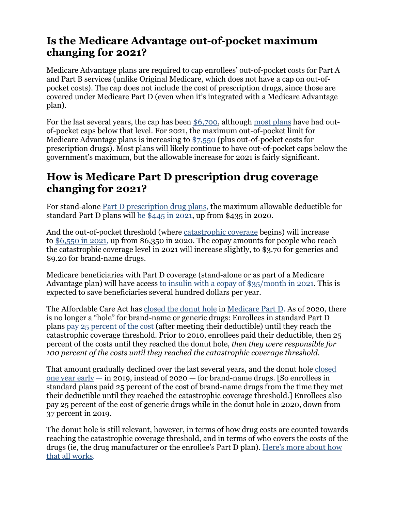#### **Is the Medicare Advantage out-of-pocket maximum changing for 2021?**

Medicare Advantage plans are required to cap enrollees' out-of-pocket costs for Part A and Part B services (unlike Original Medicare, which does not have a cap on out-ofpocket costs). The cap does not include the cost of prescription drugs, since those are covered under Medicare Part D (even when it's integrated with a Medicare Advantage plan).

For the last several years, the cap has been [\\$6,700,](https://www.cms.gov/Medicare/Health-Plans/MedicareAdvtgSpecRateStats/Downloads/Announcement2020.pdf) although [most plans](https://q1medicare.com/q1group/MedicareAdvantagePartD/Blog.php?blog=A-comparison-of-the-Maximum-Out-Of-Pocket-Limit--MOOP--range-for-2020-Medicare-Advantage-plans-as-compared-to-2019-Medicare-Advantage-plans&blog_id=787&category_id=18) have had outof-pocket caps below that level. For 2021, the maximum out-of-pocket limit for Medicare Advantage plans is increasing to [\\$7,550](https://mabenefitsmailbox.lmi.org/MABenefitsMailbox/Documents/2021%2FFinal%20CY%202021%20Part%20C%20Bid%20Review%20Memorandum_4-8-2020.pdf) (plus out-of-pocket costs for prescription drugs). Most plans will likely continue to have out-of-pocket caps below the government's maximum, but the allowable increase for 2021 is fairly significant.

### **How is Medicare Part D prescription drug coverage changing for 2021?**

For stand-alone [Part D prescription drug plans,](https://www.medicareresources.org/medicare-benefits/medicare-part-d/) the maximum allowable deductible for standard Part D plans will be  $\frac{$445 \text{ in } 2021}$ , up from \$435 in 2020.

And the out-of-pocket threshold (where [catastrophic coverage](https://www.medicareresources.org/glossary/catastrophic-coverage/) begins) will increase to [\\$6,550 in 2021,](https://www.cms.gov/files/document/2021-announcement.pdf) up from \$6,350 in 2020. The copay amounts for people who reach the catastrophic coverage level in 2021 will increase slightly, to \$3.70 for generics and \$9.20 for brand-name drugs.

Medicare beneficiaries with Part D coverage (stand-alone or as part of a Medicare Advantage plan) will have access to [insulin with a copay of \\$35/month in 2021.](https://www.medicareresources.org/blog/2020/05/27/medicare-heads-up-may-27-2020/) This is expected to save beneficiaries several hundred dollars per year.

The Affordable Care Act has [closed the donut hole](https://www.medicareresources.org/faqs/are-there-changes-in-the-medicare-part-d-prescription-drug-coverage-this-year/) in [Medicare Part D.](https://www.medicareresources.org/medicare-benefits/medicare-part-d/) As of 2020, there is no longer a "hole" for brand-name or generic drugs: Enrollees in standard Part D plans [pay 25 percent of the cost](https://www.medicare.gov/drug-coverage-part-d/costs-for-medicare-drug-coverage/costs-in-the-coverage-gap) (after meeting their deductible) until they reach the catastrophic coverage threshold. Prior to 2010, enrollees paid their deductible, then 25 percent of the costs until they reached the donut hole, *then they were responsible for 100 percent of the costs until they reached the catastrophic coverage threshold*.

That amount gradually declined over the last several years, and the donut hole [closed](https://www.medicareresources.org/faqs/how-will-my-medicare-prescription-drug-costs-change-this-year/)  [one year early](https://www.medicareresources.org/faqs/how-will-my-medicare-prescription-drug-costs-change-this-year/)  $-$  in 2019, instead of 2020  $-$  for brand-name drugs. [So enrollees in standard plans paid 25 percent of the cost of brand-name drugs from the time they met their deductible until they reached the catastrophic coverage threshold.] Enrollees also pay 25 percent of the cost of generic drugs while in the donut hole in 2020, down from 37 percent in 2019.

The donut hole is still relevant, however, in terms of how drug costs are counted towards reaching the catastrophic coverage threshold, and in terms of who covers the costs of the drugs (ie, the drug manufacturer or the enrollee's Part D plan). [Here's more about how](https://www.medicareresources.org/glossary/donut-hole/)  [that all works.](https://www.medicareresources.org/glossary/donut-hole/)